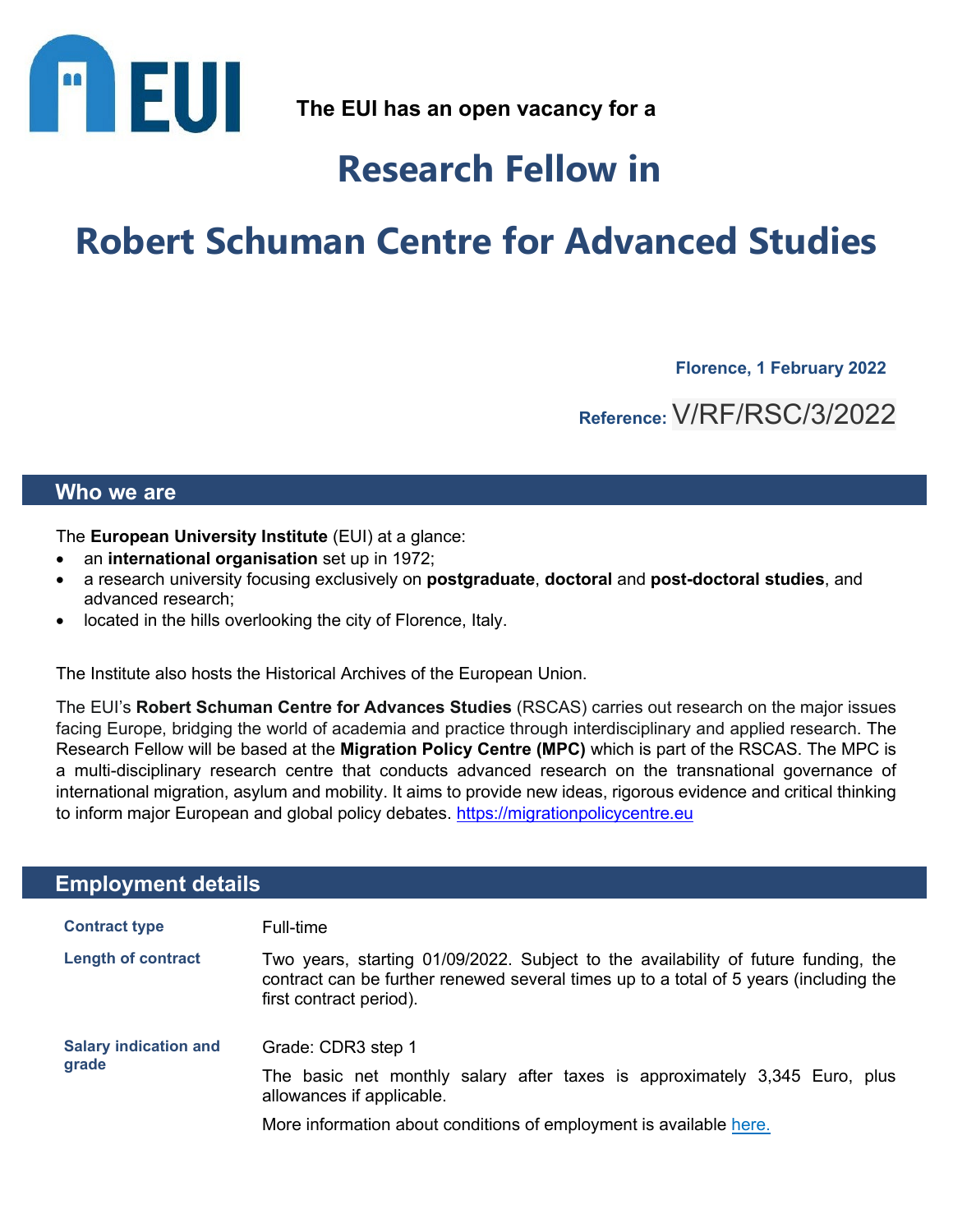

**The EUI has an open vacancy for a**

## **Research Fellow in**

# **Robert Schuman Centre for Advanced Studies**

**Florence, 1 February 2022** 

**Reference:** V/RF/RSC/3/2022

### **Who we are**

The **European University Institute** (EUI) at a glance:

- an **international organisation** set up in 1972;
- a research university focusing exclusively on **postgraduate**, **doctoral** and **post-doctoral studies**, and advanced research;
- located in the hills overlooking the city of Florence, Italy.

The Institute also hosts the Historical Archives of the European Union.

The EUI's **Robert Schuman Centre for Advances Studies** (RSCAS) carries out research on the major issues facing Europe, bridging the world of academia and practice through interdisciplinary and applied research. The Research Fellow will be based at the **Migration Policy Centre (MPC)** which is part of the RSCAS. The MPC is a multi-disciplinary research centre that conducts advanced research on the transnational governance of international migration, asylum and mobility. It aims to provide new ideas, rigorous evidence and critical thinking to inform major European and global policy debates. https://migrationpolicycentre.eu

## **Employment details**

| <b>Contract type</b>                  | Full-time                                                                                                                                                                                              |
|---------------------------------------|--------------------------------------------------------------------------------------------------------------------------------------------------------------------------------------------------------|
| <b>Length of contract</b>             | Two years, starting 01/09/2022. Subject to the availability of future funding, the<br>contract can be further renewed several times up to a total of 5 years (including the<br>first contract period). |
| <b>Salary indication and</b><br>grade | Grade: CDR3 step 1                                                                                                                                                                                     |
|                                       | The basic net monthly salary after taxes is approximately 3,345 Euro, plus<br>allowances if applicable.                                                                                                |
|                                       | More information about conditions of employment is available here.                                                                                                                                     |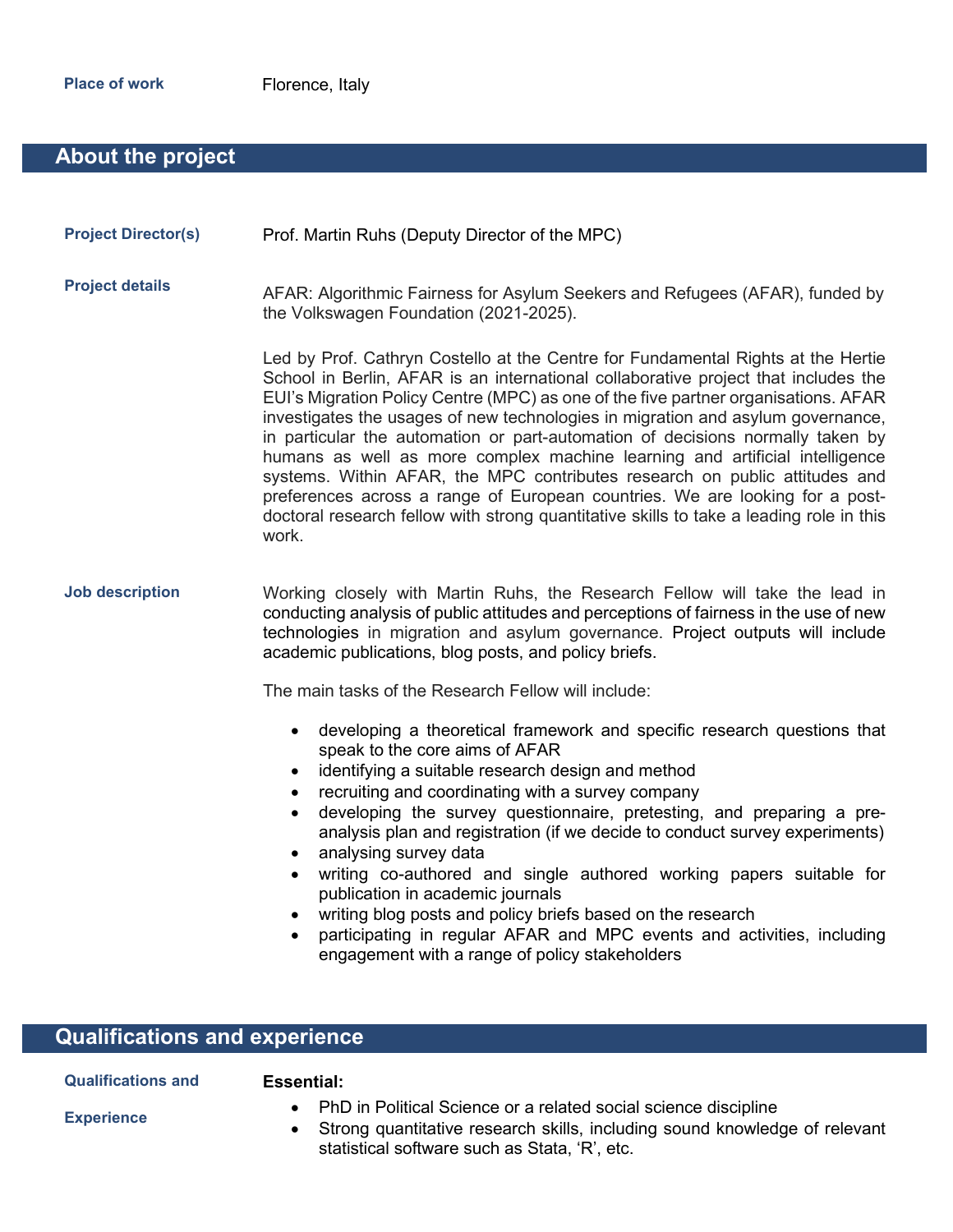## **About the project**

| <b>Project Director(s)</b> | Prof. Martin Ruhs (Deputy Director of the MPC) |
|----------------------------|------------------------------------------------|
|----------------------------|------------------------------------------------|

**Project details** AFAR: Algorithmic Fairness for Asylum Seekers and Refugees (AFAR), funded by the Volkswagen Foundation (2021-2025).

> Led by Prof. Cathryn Costello at the Centre for Fundamental Rights at the Hertie School in Berlin, AFAR is an international collaborative project that includes the EUI's Migration Policy Centre (MPC) as one of the five partner organisations. AFAR investigates the usages of new technologies in migration and asylum governance, in particular the automation or part-automation of decisions normally taken by humans as well as more complex machine learning and artificial intelligence systems. Within AFAR, the MPC contributes research on public attitudes and preferences across a range of European countries. We are looking for a postdoctoral research fellow with strong quantitative skills to take a leading role in this work.

**Job description** Working closely with Martin Ruhs, the Research Fellow will take the lead in conducting analysis of public attitudes and perceptions of fairness in the use of new technologies in migration and asylum governance. Project outputs will include academic publications, blog posts, and policy briefs.

The main tasks of the Research Fellow will include:

- developing a theoretical framework and specific research questions that speak to the core aims of AFAR
- identifying a suitable research design and method
- recruiting and coordinating with a survey company
- developing the survey questionnaire, pretesting, and preparing a preanalysis plan and registration (if we decide to conduct survey experiments)
- analysing survey data
- writing co-authored and single authored working papers suitable for publication in academic journals
- writing blog posts and policy briefs based on the research
- participating in regular AFAR and MPC events and activities, including engagement with a range of policy stakeholders

## **Qualifications and experience**

| <b>Qualifications and</b> |  |
|---------------------------|--|
| <b>Experience</b>         |  |

#### **Essential:**

- PhD in Political Science or a related social science discipline
- Strong quantitative research skills, including sound knowledge of relevant statistical software such as Stata, 'R', etc.